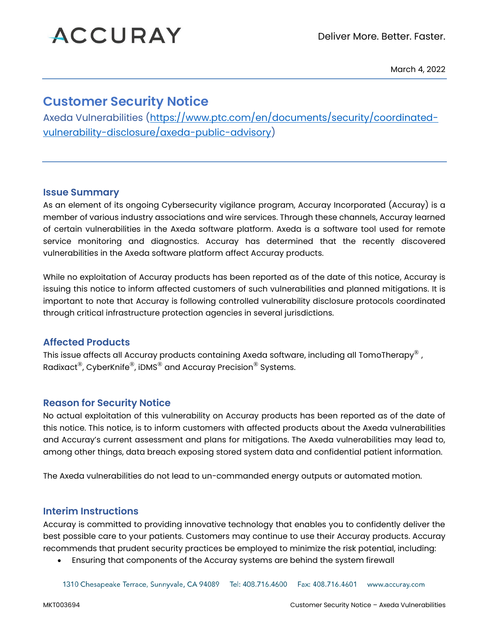# **ACCURAY**

March 4, 2022

# **Customer Security Notice**

Axeda Vulnerabilities [\(https://www.ptc.com/en/documents/security/coordinated](https://www.ptc.com/en/documents/security/coordinated-vulnerability-disclosure/axeda-public-advisory)[vulnerability-disclosure/axeda-public-advisory\)](https://www.ptc.com/en/documents/security/coordinated-vulnerability-disclosure/axeda-public-advisory)

#### **Issue Summary**

As an element of its ongoing Cybersecurity vigilance program, Accuray Incorporated (Accuray) is a member of various industry associations and wire services. Through these channels, Accuray learned of certain vulnerabilities in the Axeda software platform. Axeda is a software tool used for remote service monitoring and diagnostics. Accuray has determined that the recently discovered vulnerabilities in the Axeda software platform affect Accuray products.

While no exploitation of Accuray products has been reported as of the date of this notice, Accuray is issuing this notice to inform affected customers of such vulnerabilities and planned mitigations. It is important to note that Accuray is following controlled vulnerability disclosure protocols coordinated through critical infrastructure protection agencies in several jurisdictions.

### **Affected Products**

This issue affects all Accuray products containing Axeda software, including all TomoTherapy<sup>®</sup>, Radixact®, CyberKnife®, iDMS® and Accuray Precision® Systems.

### **Reason for Security Notice**

No actual exploitation of this vulnerability on Accuray products has been reported as of the date of this notice. This notice, is to inform customers with affected products about the Axeda vulnerabilities and Accuray's current assessment and plans for mitigations. The Axeda vulnerabilities may lead to, among other things, data breach exposing stored system data and confidential patient information.

The Axeda vulnerabilities do not lead to un-commanded energy outputs or automated motion.

### **Interim Instructions**

Accuray is committed to providing innovative technology that enables you to confidently deliver the best possible care to your patients. Customers may continue to use their Accuray products. Accuray recommends that prudent security practices be employed to minimize the risk potential, including:

• Ensuring that components of the Accuray systems are behind the system firewall